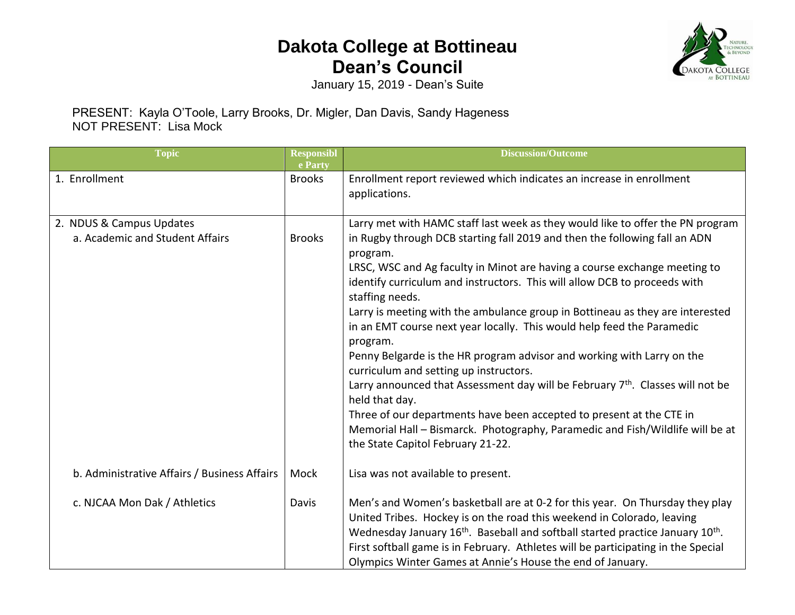## **Dakota College at Bottineau Dean's Council**



January 15, 2019 - Dean's Suite

## PRESENT: Kayla O'Toole, Larry Brooks, Dr. Migler, Dan Davis, Sandy Hageness NOT PRESENT: Lisa Mock

| <b>Topic</b>                                                | <b>Responsibl</b><br>e Party | <b>Discussion/Outcome</b>                                                                                                                                                                                                                                                                                                                                                                                                                                                                                                                                                                                                                                                                                                                                                                                                                                                                                                                                      |
|-------------------------------------------------------------|------------------------------|----------------------------------------------------------------------------------------------------------------------------------------------------------------------------------------------------------------------------------------------------------------------------------------------------------------------------------------------------------------------------------------------------------------------------------------------------------------------------------------------------------------------------------------------------------------------------------------------------------------------------------------------------------------------------------------------------------------------------------------------------------------------------------------------------------------------------------------------------------------------------------------------------------------------------------------------------------------|
| 1. Enrollment                                               | <b>Brooks</b>                | Enrollment report reviewed which indicates an increase in enrollment<br>applications.                                                                                                                                                                                                                                                                                                                                                                                                                                                                                                                                                                                                                                                                                                                                                                                                                                                                          |
| 2. NDUS & Campus Updates<br>a. Academic and Student Affairs | <b>Brooks</b>                | Larry met with HAMC staff last week as they would like to offer the PN program<br>in Rugby through DCB starting fall 2019 and then the following fall an ADN<br>program.<br>LRSC, WSC and Ag faculty in Minot are having a course exchange meeting to<br>identify curriculum and instructors. This will allow DCB to proceeds with<br>staffing needs.<br>Larry is meeting with the ambulance group in Bottineau as they are interested<br>in an EMT course next year locally. This would help feed the Paramedic<br>program.<br>Penny Belgarde is the HR program advisor and working with Larry on the<br>curriculum and setting up instructors.<br>Larry announced that Assessment day will be February 7 <sup>th</sup> . Classes will not be<br>held that day.<br>Three of our departments have been accepted to present at the CTE in<br>Memorial Hall - Bismarck. Photography, Paramedic and Fish/Wildlife will be at<br>the State Capitol February 21-22. |
| b. Administrative Affairs / Business Affairs                | Mock                         | Lisa was not available to present.                                                                                                                                                                                                                                                                                                                                                                                                                                                                                                                                                                                                                                                                                                                                                                                                                                                                                                                             |
| c. NJCAA Mon Dak / Athletics                                | Davis                        | Men's and Women's basketball are at 0-2 for this year. On Thursday they play<br>United Tribes. Hockey is on the road this weekend in Colorado, leaving<br>Wednesday January 16 <sup>th</sup> . Baseball and softball started practice January 10 <sup>th</sup> .<br>First softball game is in February. Athletes will be participating in the Special<br>Olympics Winter Games at Annie's House the end of January.                                                                                                                                                                                                                                                                                                                                                                                                                                                                                                                                            |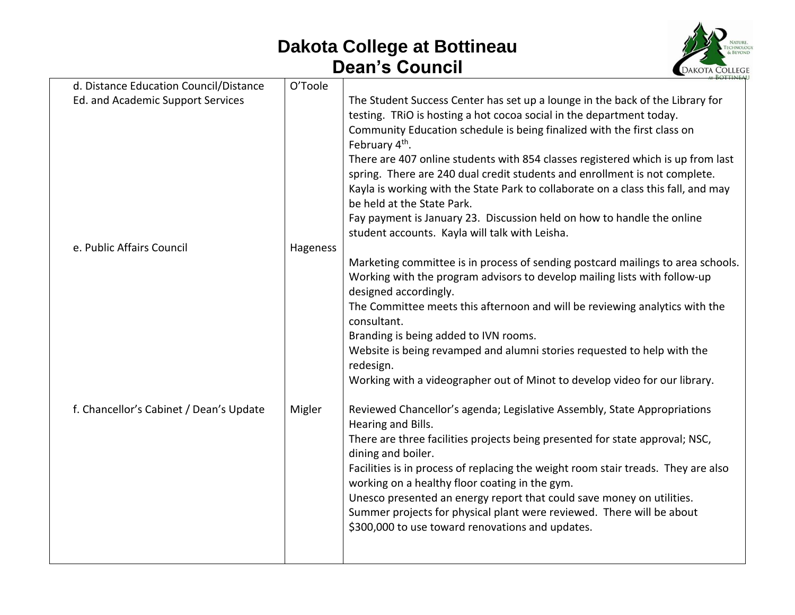## **Dakota College at Bottineau Dean's Council**



| d. Distance Education Council/Distance  | O'Toole  |                                                                                                                                                                                                                                                                                                                                                                                                                                                                                                                                                    |
|-----------------------------------------|----------|----------------------------------------------------------------------------------------------------------------------------------------------------------------------------------------------------------------------------------------------------------------------------------------------------------------------------------------------------------------------------------------------------------------------------------------------------------------------------------------------------------------------------------------------------|
| Ed. and Academic Support Services       |          | The Student Success Center has set up a lounge in the back of the Library for<br>testing. TRIO is hosting a hot cocoa social in the department today.<br>Community Education schedule is being finalized with the first class on<br>February 4 <sup>th</sup> .<br>There are 407 online students with 854 classes registered which is up from last<br>spring. There are 240 dual credit students and enrollment is not complete.<br>Kayla is working with the State Park to collaborate on a class this fall, and may<br>be held at the State Park. |
|                                         |          | Fay payment is January 23. Discussion held on how to handle the online<br>student accounts. Kayla will talk with Leisha.                                                                                                                                                                                                                                                                                                                                                                                                                           |
| e. Public Affairs Council               | Hageness | Marketing committee is in process of sending postcard mailings to area schools.                                                                                                                                                                                                                                                                                                                                                                                                                                                                    |
|                                         |          | Working with the program advisors to develop mailing lists with follow-up<br>designed accordingly.                                                                                                                                                                                                                                                                                                                                                                                                                                                 |
|                                         |          | The Committee meets this afternoon and will be reviewing analytics with the<br>consultant.                                                                                                                                                                                                                                                                                                                                                                                                                                                         |
|                                         |          | Branding is being added to IVN rooms.                                                                                                                                                                                                                                                                                                                                                                                                                                                                                                              |
|                                         |          | Website is being revamped and alumni stories requested to help with the<br>redesign.                                                                                                                                                                                                                                                                                                                                                                                                                                                               |
|                                         |          | Working with a videographer out of Minot to develop video for our library.                                                                                                                                                                                                                                                                                                                                                                                                                                                                         |
| f. Chancellor's Cabinet / Dean's Update | Migler   | Reviewed Chancellor's agenda; Legislative Assembly, State Appropriations<br>Hearing and Bills.                                                                                                                                                                                                                                                                                                                                                                                                                                                     |
|                                         |          | There are three facilities projects being presented for state approval; NSC,<br>dining and boiler.                                                                                                                                                                                                                                                                                                                                                                                                                                                 |
|                                         |          | Facilities is in process of replacing the weight room stair treads. They are also<br>working on a healthy floor coating in the gym.                                                                                                                                                                                                                                                                                                                                                                                                                |
|                                         |          | Unesco presented an energy report that could save money on utilities.<br>Summer projects for physical plant were reviewed. There will be about<br>\$300,000 to use toward renovations and updates.                                                                                                                                                                                                                                                                                                                                                 |
|                                         |          |                                                                                                                                                                                                                                                                                                                                                                                                                                                                                                                                                    |